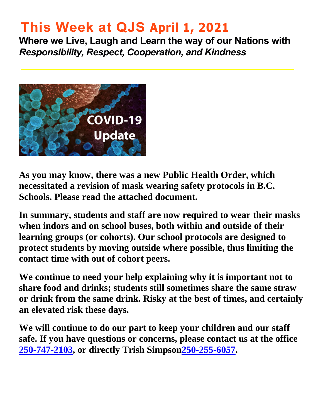# **This Week at QJS April 1, 2021**

**Where we Live, Laugh and Learn the way of our Nations with**  *Responsibility, Respect, Cooperation, and Kindness* 



**As you may know, there was a new Public Health Order, which necessitated a revision of mask wearing safety protocols in B.C. Schools. Please read the attached document.** 

**In summary, students and staff are now required to wear their masks when indors and on school buses, both within and outside of their learning groups (or cohorts). Our school protocols are designed to protect students by moving outside where possible, thus limiting the contact time with out of cohort peers.** 

**We continue to need your help explaining why it is important not to share food and drinks; students still sometimes share the same straw or drink from the same drink. Risky at the best of times, and certainly an elevated risk these days.** 

**We will continue to do our part to keep your children and our staff safe. If you have questions or concerns, please contact us at the office [250-747-2103,](tel:2507472103) or directly Trish Simpso[n250-255-6057.](tel:2502556057)**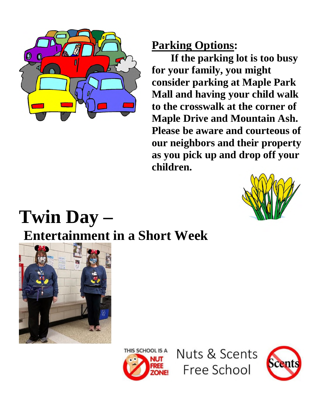

# **Parking Options:**

**If the parking lot is too busy for your family, you might consider parking at Maple Park Mall and having your child walk to the crosswalk at the corner of Maple Drive and Mountain Ash. Please be aware and courteous of our neighbors and their property as you pick up and drop off your children.** 



# **Twin Day – Entertainment in a Short Week**





Nuts & Scents Free School

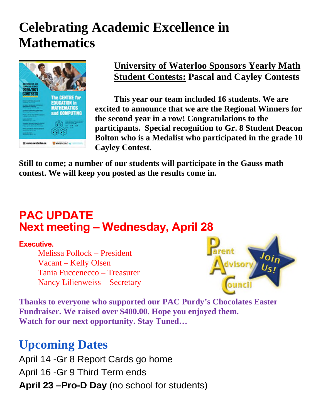# **Celebrating Academic Excellence in Mathematics**



### **University of Waterloo Sponsors Yearly Math Student Contests: Pascal and Cayley Contests**

**This year our team included 16 students. We are excited to announce that we are the Regional Winners for the second year in a row! Congratulations to the participants. Special recognition to Gr. 8 Student Deacon Bolton who is a Medalist who participated in the grade 10 Cayley Contest.** 

**Still to come; a number of our students will participate in the Gauss math contest. We will keep you posted as the results come in.** 

# **PAC UPDATE Next meeting – Wednesday, April 28**

### **Executive.**

Melissa Pollock – President Vacant – Kelly Olsen Tania Fuccenecco – Treasurer Nancy Lilienweiss – Secretary



**Thanks to everyone who supported our PAC Purdy's Chocolates Easter Fundraiser. We raised over \$400.00. Hope you enjoyed them. Watch for our next opportunity. Stay Tuned…** 

# **Upcoming Dates**

April 14 -Gr 8 Report Cards go home April 16 -Gr 9 Third Term ends **April 23 –Pro-D Day** (no school for students)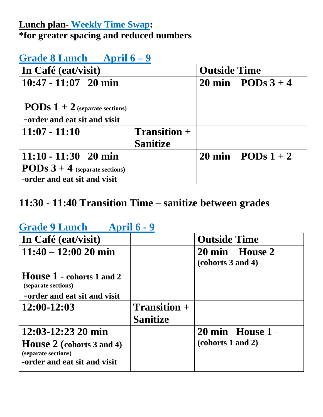# **Lunch plan- Weekly Time Swap: \*for greater spacing and reduced numbers**

# **Grade 8 Lunch April 6 – 9**

| In Café (eat/visit)                     |                 | <b>Outside Time</b> |                            |
|-----------------------------------------|-----------------|---------------------|----------------------------|
| $10:47 - 11:07$ 20 min                  |                 |                     | 20 min PODs $3+4$          |
|                                         |                 |                     |                            |
| <b>PODs</b> $1 + 2$ (separate sections) |                 |                     |                            |
| -order and eat sit and visit            |                 |                     |                            |
| $11:07 - 11:10$                         | $Transition +$  |                     |                            |
|                                         | <b>Sanitize</b> |                     |                            |
| $11:10 - 11:30$ 20 min                  |                 |                     | 20 min $\angle$ PODs 1 + 2 |
| <b>PODs</b> $3 + 4$ (separate sections) |                 |                     |                            |
| -order and eat sit and visit            |                 |                     |                            |

# **11:30 - 11:40 Transition Time – sanitize between grades**

# **Grade 9 Lunch April 6 - 9**

| In Café (eat/visit)                                                                                               |                                        | <b>Outside Time</b>                               |
|-------------------------------------------------------------------------------------------------------------------|----------------------------------------|---------------------------------------------------|
| $11:40 - 12:00 20$ min                                                                                            |                                        | 20 min House 2<br>(cohorts 3 and 4)               |
| House 1 - cohorts 1 and 2<br>(separate sections)<br>-order and eat sit and visit                                  |                                        |                                                   |
| $12:00-12:03$                                                                                                     | <b>Transition</b> +<br><b>Sanitize</b> |                                                   |
| $12:03 - 12:23$ 20 min<br><b>House 2</b> (cohorts 3 and 4)<br>(separate sections)<br>-order and eat sit and visit |                                        | $20 \text{ min}$ House $1 -$<br>(cohorts 1 and 2) |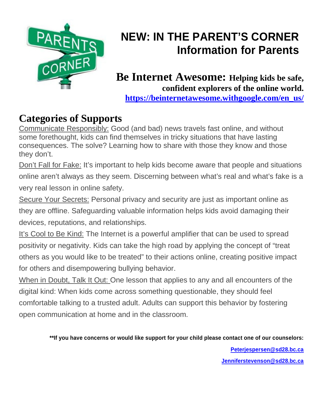

# **NEW: IN THE PARENT'S CORNER Information for Parents**

### **Be Internet Awesome: Helping kids be safe, confident explorers of the online world. [https://beinternetawesome.withgoogle.com/en\\_us/](https://beinternetawesome.withgoogle.com/en_us/)**

# **Categories of Supports**

Communicate Responsibly: Good (and bad) news travels fast online, and without some forethought, kids can find themselves in tricky situations that have lasting consequences. The solve? Learning how to share with those they know and those they don't.

Don't Fall for Fake: It's important to help kids become aware that people and situations online aren't always as they seem. Discerning between what's real and what's fake is a very real lesson in online safety.

Secure Your Secrets: Personal privacy and security are just as important online as they are offline. Safeguarding valuable information helps kids avoid damaging their devices, reputations, and relationships.

It's Cool to Be Kind: The Internet is a powerful amplifier that can be used to spread positivity or negativity. Kids can take the high road by applying the concept of "treat others as you would like to be treated" to their actions online, creating positive impact for others and disempowering bullying behavior.

When in Doubt, Talk It Out: One lesson that applies to any and all encounters of the digital kind: When kids come across something questionable, they should feel comfortable talking to a trusted adult. Adults can support this behavior by fostering open communication at home and in the classroom.

> **\*\*If you have concerns or would like support for your child please contact one of our counselors: [Peterjespersen@sd28.bc.ca](mailto:Peterjespersen@sd28.bc.ca) [Jenniferstevenson@sd28.bc.ca](mailto:Jenniferstevenson@sd28.bc.ca)**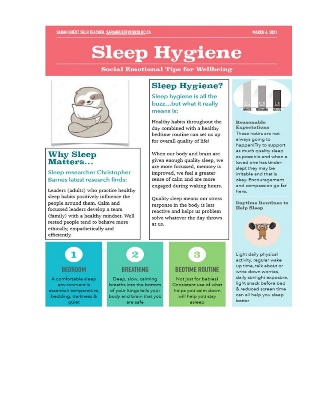### **MARCH 4, 2021**

# **Sleep Hygiene**

**Social Emotional Tips for Wellbeing** 



### **Why Sleep** Matters...

### Sleep researcher Christopher Barnes latest research finds:

Leaders (adults) who practice healthy sleep habits positively influence the people around them. Calm and focussed leaders develop a team (family) with a healthy mindset. Well rested people tend to behave more ethically, empathetically and efficiently.

### **Sleep Hygiene?**

Sleep hygiene is all the buzz...but what it really means is:

Healthy habits throughout the day combined with a healthy bedtime routine can set us up for overall quality of life!

When our body and brain are given enough quality sleep, we are more focussed, memory is improved, we feel a greater sense of calm and are more engaged during waking hours.

Quality sleep means our stress response in the body is less reactive and helps us problem solve whatever the day throws at us.



Reasonable Expectations These hours are not always going to happenITry to support as much quality sleep as possible and when a loved one has underslept they may be irritable and that is okay. Encouragement and compassion go far here.

Daytime Routines to **Help Sleep** 



Light daily physical activity, regular wake up time, talk about or write down worries. daily sunlight exposure, light snack before bed & reduced screen time can all help you sleep better

### **BEDROOM**

A comfortable sleep environment is essential: temperature, bedding, darkness & quiet

### **BREATHING**

Deep, slow, calming breaths into the bottom of your lungs tells your body and brain that you are safe

# 3

### **BEDTIME ROUTINE**

Not just for babies! Consistent use of what helps you calm down will help you stay asleep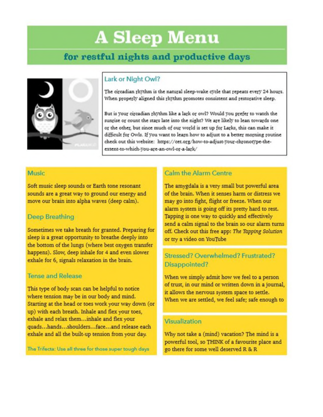# **A Sleep Menu**

## for restful nights and productive days



### Lark or Night Owl?

The circadian rhythm is the natural sleep-wake cycle that repeats every 24 hours. When properly aligned this rhythm promotes consistent and restorative sleep.

But is your circadian rhythm like a lark or owl? Would you prefer to watch the sunrise or count the stars late into the night? We are likely to lean towards one or the other, but since much of our world is set up for Larks, this can make it difficult for Owls. If you want to learn how to adjust to a better morning routine check out this website: https://cet.org/how-to-adjust-your-chronotype-theextent-to-which-you-are-an-owl-or-a-lark/

### Music

Soft music sleep sounds or Earth tone resonant sounds are a great way to ground our energy and move our brain into alpha waves (deep calm).

### **Deep Breathing**

Sometimes we take breath for granted. Preparing for sleep is a great opportunity to breathe deeply into the bottom of the lungs (where best oxygen transfer happens). Slow, deep inhale for 4 and even slower exhale for 6, signals relaxation in the brain.

### **Tense and Release**

This type of body scan can be helpful to notice where tension may be in our body and mind. Starting at the head or toes work your way down (or up) with each breath. Inhale and flex your toes, exhale and relax them...inhale and flex your quads...hands...shoulders...face...and release each exhale and all the built-up tension from your day.

The Trifecta: Use all three for those super tough days

### **Calm the Alarm Centre**

The amygdala is a very small but powerful area of the brain. When it senses harm or distress we may go into fight, flight or freeze. When our alarm system is going off its pretty hard to rest. Tapping is one way to quickly and effectively send a calm signal to the brain so our alarm turns off. Check out this free app: The Tapping Solution or try a video on YouTube

### Stressed? Overwhelmed? Frustrated? Disappointed?

When we simply admit how we feel to a person of trust, in our mind or written down in a journal, it allows the nervous system space to settle. When we are settled, we feel safe; safe enough to

### Visualization

Why not take a (mind) vacation? The mind is a powerful tool, so THINK of a favourite place and go there for some well deserved R & R